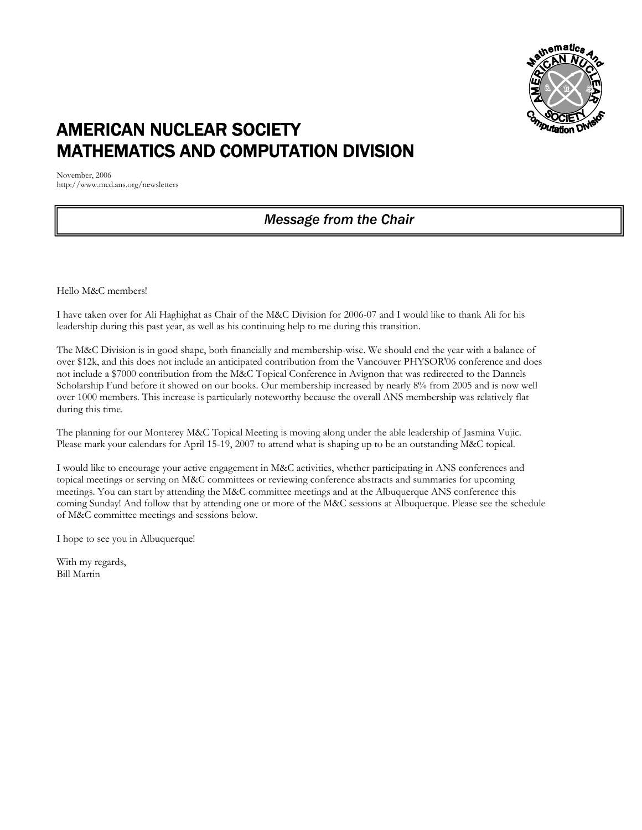

# AMERICAN NUCLEAR SOCIETY MATHEMATICS AND COMPUTATION DIVISION

November, 2006 http://www.mcd.ans.org/newsletters

# *Message from the Chair*

Hello M&C members!

I have taken over for Ali Haghighat as Chair of the M&C Division for 2006-07 and I would like to thank Ali for his leadership during this past year, as well as his continuing help to me during this transition.

The M&C Division is in good shape, both financially and membership-wise. We should end the year with a balance of over \$12k, and this does not include an anticipated contribution from the Vancouver PHYSOR'06 conference and does not include a \$7000 contribution from the M&C Topical Conference in Avignon that was redirected to the Dannels Scholarship Fund before it showed on our books. Our membership increased by nearly 8% from 2005 and is now well over 1000 members. This increase is particularly noteworthy because the overall ANS membership was relatively flat during this time.

The planning for our Monterey M&C Topical Meeting is moving along under the able leadership of Jasmina Vujic. Please mark your calendars for April 15-19, 2007 to attend what is shaping up to be an outstanding M&C topical.

I would like to encourage your active engagement in M&C activities, whether participating in ANS conferences and topical meetings or serving on M&C committees or reviewing conference abstracts and summaries for upcoming meetings. You can start by attending the M&C committee meetings and at the Albuquerque ANS conference this coming Sunday! And follow that by attending one or more of the M&C sessions at Albuquerque. Please see the schedule of M&C committee meetings and sessions below.

I hope to see you in Albuquerque!

With my regards, Bill Martin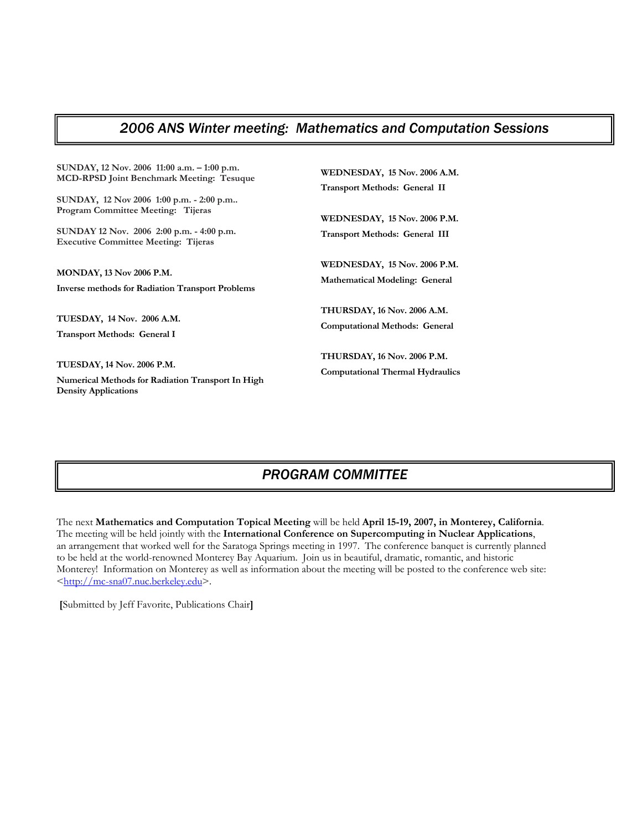# *2006 ANS Winter meeting: Mathematics and Computation Sessions*

| SUNDAY, 12 Nov. 2006 11:00 a.m. - 1:00 p.m.                                                                                                                                | <b>WEDNESDAY, 15 Nov. 2006 A.M.</b>                                          |
|----------------------------------------------------------------------------------------------------------------------------------------------------------------------------|------------------------------------------------------------------------------|
| <b>MCD-RPSD Joint Benchmark Meeting: Tesuque</b>                                                                                                                           | <b>Transport Methods: General II</b>                                         |
| SUNDAY, 12 Nov 2006 1:00 p.m. - 2:00 p.m<br>Program Committee Meeting: Tijeras<br>SUNDAY 12 Nov. 2006 2:00 p.m. - 4:00 p.m.<br><b>Executive Committee Meeting: Tijeras</b> | <b>WEDNESDAY, 15 Nov. 2006 P.M.</b><br><b>Transport Methods: General III</b> |
| <b>MONDAY, 13 Nov 2006 P.M.</b>                                                                                                                                            | WEDNESDAY, 15 Nov. 2006 P.M.                                                 |
| <b>Inverse methods for Radiation Transport Problems</b>                                                                                                                    | <b>Mathematical Modeling: General</b>                                        |
| TUESDAY, 14 Nov. 2006 A.M.                                                                                                                                                 | <b>THURSDAY, 16 Nov. 2006 A.M.</b>                                           |
| <b>Transport Methods: General I</b>                                                                                                                                        | <b>Computational Methods: General</b>                                        |
| <b>TUESDAY, 14 Nov. 2006 P.M.</b><br>Numerical Methods for Radiation Transport In High<br><b>Density Applications</b>                                                      | THURSDAY, 16 Nov. 2006 P.M.<br><b>Computational Thermal Hydraulics</b>       |

# *PROGRAM COMMITTEE*

The next **Mathematics and Computation Topical Meeting** will be held **April 15-19, 2007, in Monterey, California**. The meeting will be held jointly with the **International Conference on Supercomputing in Nuclear Applications**, an arrangement that worked well for the Saratoga Springs meeting in 1997. The conference banquet is currently planned to be held at the world-renowned Monterey Bay Aquarium. Join us in beautiful, dramatic, romantic, and historic Monterey! Information on Monterey as well as information about the meeting will be posted to the conference web site: <http://mc-sna07.nuc.berkeley.edu>.

 **[**Submitted by Jeff Favorite, Publications Chair**]**